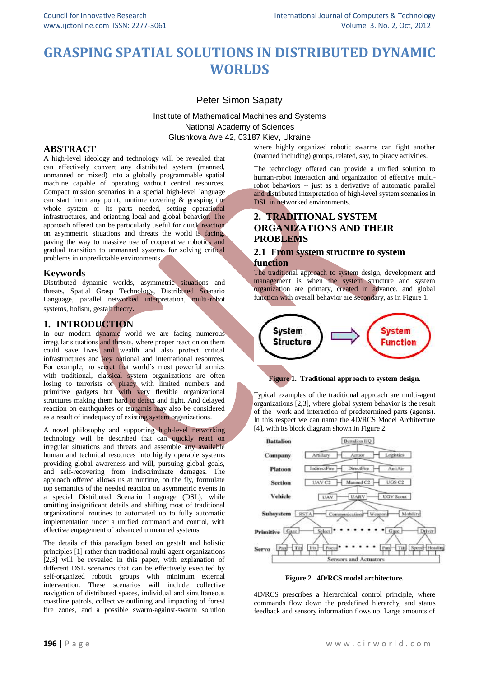# **GRASPING SPATIAL SOLUTIONS IN DISTRIBUTED DYNAMIC WORLDS**

# Peter Simon Sapaty

Institute of Mathematical Machines and Systems National Academy of Sciences Glushkova Ave 42, 03187 Kiev, Ukraine

### **ABSTRACT**

A high-level ideology and technology will be revealed that can effectively convert any distributed system (manned, unmanned or mixed) into a globally programmable spatial machine capable of operating without central resources. Compact mission scenarios in a special high-level language can start from any point, runtime covering & grasping the whole system or its parts needed, setting operational infrastructures, and orienting local and global behavior. The approach offered can be particularly useful for quick reaction on asymmetric situations and threats the world is facing, paving the way to massive use of cooperative robotics and gradual transition to unmanned systems for solving critical problems in unpredictable environments

# **Keywords**

Distributed dynamic worlds, asymmetric situations and threats, Spatial Grasp Technology, Distributed Scenario Language, parallel networked interpretation, multi-robot systems, holism, gestalt theory.

# **1. INTRODUCTION**

In our modern dynamic world we are facing numerous irregular situations and threats, where proper reaction on them could save lives and wealth and also protect critical infrastructures and key national and international resources. For example, no secret that world's most powerful armies with traditional, classical system organizations are often losing to terrorists or piracy with limited numbers and primitive gadgets but with very flexible organizational structures making them hard to detect and fight. And delayed reaction on earthquakes or tsunamis may also be considered as a result of inadequacy of existing system organizations.

A novel philosophy and supporting high-level networking technology will be described that can quickly react on irregular situations and threats and assemble any available human and technical resources into highly operable systems providing global awareness and will, pursuing global goals, and self-recovering from indiscriminate damages. The approach offered allows us at runtime, on the fly, formulate top semantics of the needed reaction on asymmetric events in a special Distributed Scenario Language (DSL), while omitting insignificant details and shifting most of traditional organizational routines to automated up to fully automatic implementation under a unified command and control, with effective engagement of advanced unmanned systems.

The details of this paradigm based on gestalt and holistic principles [1] rather than traditional multi-agent organizations [2,3] will be revealed in this paper, with explanation of different DSL scenarios that can be effectively executed by self-organized robotic groups with minimum external intervention. These scenarios will include collective navigation of distributed spaces, individual and simultaneous coastline patrols, collective outlining and impacting of forest fire zones, and a possible swarm-against-swarm solution

where highly organized robotic swarms can fight another (manned including) groups, related, say, to piracy activities.

The technology offered can provide a unified solution to human-robot interaction and organization of effective multirobot behaviors -- just as a derivative of automatic parallel and distributed interpretation of high-level system scenarios in DSL in networked environments.

# **2. TRADITIONAL SYSTEM ORGANIZATIONS AND THEIR PROBLEMS**

### **2.1 From system structure to system function**

The traditional approach to system design, development and management is when the system structure and system organization are primary, created in advance, and global function with overall behavior are secondary, as in Figure 1.





Typical examples of the traditional approach are multi-agent organizations [2,3], where global system behavior is the result of the work and interaction of predetermined parts (agents). In this respect we can name the 4D/RCS Model Architecture [4], with its block diagram shown in Figure 2.



**Figure 2. 4D/RCS model architecture.**

4D/RCS prescribes a hierarchical control principle, where commands flow down the predefined hierarchy, and status feedback and sensory information flows up. Large amounts of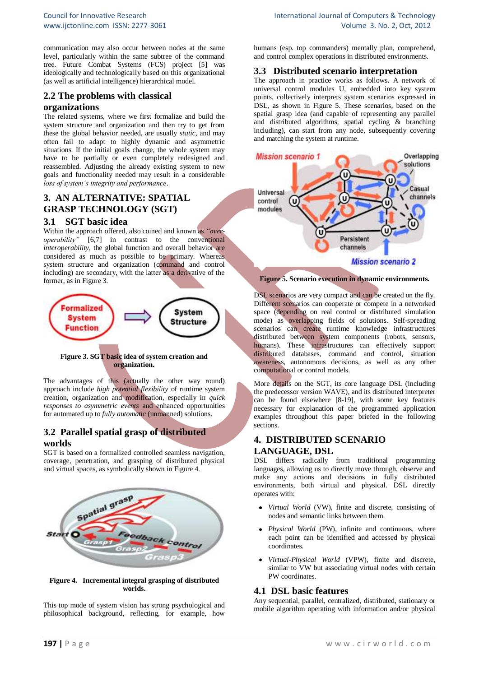communication may also occur between nodes at the same level, particularly within the same subtree of the command tree. Future Combat Systems (FCS) project [5] was ideologically and technologically based on this organizational (as well as artificial intelligence) hierarchical model.

# **2.2 The problems with classical**

#### **organizations**

The related systems, where we first formalize and build the system structure and organization and then try to get from these the global behavior needed, are usually *static*, and may often fail to adapt to highly dynamic and asymmetric situations. If the initial goals change, the whole system may have to be partially or even completely redesigned and reassembled. Adjusting the already existing system to new goals and functionality needed may result in a considerable *loss of system's integrity and performance*.

# **3. AN ALTERNATIVE: SPATIAL GRASP TECHNOLOGY (SGT)**

#### **3.1 SGT basic idea**

Within the approach offered, also coined and known as *"overoperability"* [6,7] in contrast to the conventional *interoperability*, the global function and overall behavior are considered as much as possible to be primary. Whereas system structure and organization (command and control including) are secondary, with the latter as a derivative of the former, as in Figure 3.



**Figure 3. SGT basic idea of system creation and organization.**

The advantages of this (actually the other way round) approach include *high potential flexibility* of runtime system creation, organization and modification, especially in *quick responses to asymmetric events* and enhanced opportunities for automated up to *fully automatic* (unmanned) solutions.

# **3.2 Parallel spatial grasp of distributed worlds**

SGT is based on a formalized controlled seamless navigation, coverage, penetration, and grasping of distributed physical and virtual spaces, as symbolically shown in Figure 4.



#### **Figure 4. Incremental integral grasping of distributed worlds.**

This top mode of system vision has strong psychological and philosophical background, reflecting, for example, how

humans (esp. top commanders) mentally plan, comprehend, and control complex operations in distributed environments.

### **3.3 Distributed scenario interpretation**

The approach in practice works as follows. A network of universal control modules U, embedded into key system points, collectively interprets system scenarios expressed in DSL, as shown in Figure 5. These scenarios, based on the spatial grasp idea (and capable of representing any parallel and distributed algorithms, spatial cycling & branching including), can start from any node, subsequently covering and matching the system at runtime.



#### **Figure 5. Scenario execution in dynamic environments.**

DSL scenarios are very compact and can be created on the fly. Different scenarios can cooperate or compete in a networked space (depending on real control or distributed simulation mode) as overlapping fields of solutions. Self-spreading scenarios can create runtime knowledge infrastructures distributed between system components (robots, sensors, humans). These infrastructures can effectively support distributed databases, command and control, situation awareness, autonomous decisions, as well as any other computational or control models.

More details on the SGT, its core language DSL (including the predecessor version WAVE), and its distributed interpreter can be found elsewhere [8-19], with some key features necessary for explanation of the programmed application examples throughout this paper briefed in the following sections.

# **4. DISTRIBUTED SCENARIO LANGUAGE, DSL**

DSL differs radically from traditional programming languages, allowing us to directly move through, observe and make any actions and decisions in fully distributed environments, both virtual and physical. DSL directly operates with:

- *Virtual World* (VW), finite and discrete, consisting of nodes and semantic links between them.
- *Physical World* (PW), infinite and continuous, where each point can be identified and accessed by physical coordinates.
- *Virtual-Physical World* (VPW), finite and discrete, similar to VW but associating virtual nodes with certain PW coordinates.

#### **4.1 DSL basic features**

Any sequential, parallel, centralized, distributed, stationary or mobile algorithm operating with information and/or physical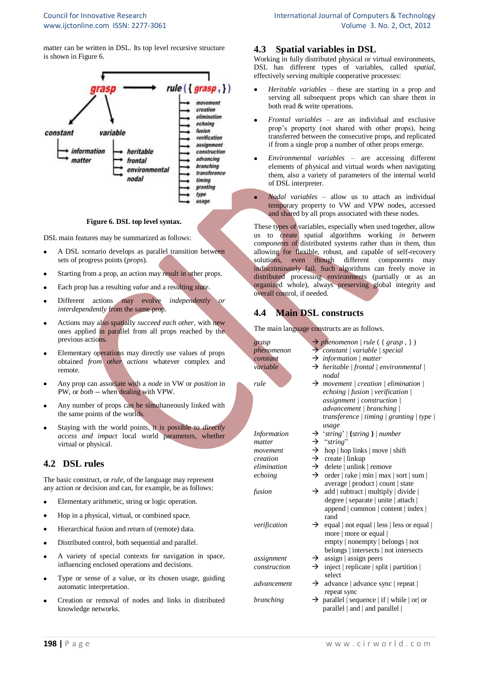matter can be written in DSL. Its top level recursive structure is shown in Figure 6.



#### **Figure 6. DSL top level syntax.**

DSL main features may be summarized as follows:

- A DSL scenario develops as parallel transition between sets of progress points (*props*).
- Starting from a prop, an action may result in other props.
- Each prop has a resulting *value* and a resulting *state*.
- Different actions may evolve *independently or interdependently* from the same prop.
- Actions may also spatially *succeed each other*, with new ones applied in parallel from all props reached by the previous actions.
- Elementary operations may directly use values of props obtained *from other actions* whatever complex and remote.
- Any prop can associate with a *node* in VW or *position* in PW, or *both* -- when dealing with VPW.
- Any number of props can be simultaneously linked with the same points of the worlds.
- Staying with the world points, it is possible to *directly access and impact* local world parameters, whether virtual or physical.

# **4.2 DSL rules**

The basic construct, or *rule*, of the language may represent any action or decision and can, for example, be as follows:

- Elementary arithmetic, string or logic operation.
- Hop in a physical, virtual, or combined space.
- Hierarchical fusion and return of (remote) data.
- Distributed control, both sequential and parallel.
- A variety of special contexts for navigation in space, influencing enclosed operations and decisions.
- Type or sense of a value, or its chosen usage, guiding automatic interpretation.
- Creation or removal of nodes and links in distributed knowledge networks.

# **4.3 Spatial variables in DSL**

Working in fully distributed physical or virtual environments. DSL has different types of variables, called *spatial*, effectively serving multiple cooperative processes:

- *Heritable variables* these are starting in a prop and serving all subsequent props which can share them in both read & write operations.
- *Frontal variables* are an individual and exclusive prop's property (not shared with other props), being transferred between the consecutive props, and replicated if from a single prop a number of other props emerge.
- *Environmental variables* are accessing different elements of physical and virtual words when navigating them, also a variety of parameters of the internal world of DSL interpreter.
- *Nodal variables* allow us to attach an individual temporary property to VW and VPW nodes, accessed and shared by all props associated with these nodes.

These types of variables, especially when used together, allow us to create spatial algorithms working *in between components* of distributed systems rather than *in* them, thus allowing for flexible, robust, and capable of self-recovery solutions, even though different components may indiscriminately fail. Such algorithms can freely move in distributed processing environments (partially or as an organized whole), always preserving global integrity and overall control, if needed.

# **4.4 Main DSL constructs**

The main language constructs are as follows.

| grasp              |               | $\rightarrow$ phenomenon   rule ({grasp,})        |
|--------------------|---------------|---------------------------------------------------|
| phenomenon         |               | $\rightarrow$ constant   variable   special       |
| constant           |               | $\rightarrow$ information / matter                |
| variable           |               | $\rightarrow$ heritable   frontal   environmental |
|                    |               | nodal                                             |
| rule               | →             | movement   creation   elimination                 |
|                    |               | echoing   fusion   verification                   |
|                    |               | assignment / construction /                       |
|                    |               | advancement   branching                           |
|                    |               | transference   timing   granting   type           |
|                    |               | usage                                             |
| <b>Information</b> | →             | 'string'   {string }   number                     |
| matter             | $\rightarrow$ | "string"                                          |
| movement           | $\rightarrow$ | hop   hop links   move   shift                    |
| creation           | $\rightarrow$ | $create$   linkup                                 |
| elimination        | $\rightarrow$ | delete   unlink   remove                          |
| echoing            | $\rightarrow$ | order   rake   min   max   sort   sum             |
|                    |               | average   product   count   state                 |
| fusion             | →             | add   subtract   multiply   divide                |
|                    |               | degree   separate   unite   attach                |
|                    |               | append   common   content   index                 |
|                    |               | rand                                              |
| verification       | $\rightarrow$ | equal   not equal   less   less or equal          |
|                    |               | more   more or equal                              |
|                    |               | empty   nonempty   belongs   not                  |
|                    |               | belongs   intersects   not intersects             |
| assignment         | →             | $assign \mid assign \text{ peters}$               |
| construction       | →             | inject   replicate   split   partition            |
|                    |               | select                                            |
| advancement        | $\rightarrow$ | advance   advance sync   repeat                   |
|                    |               | repeat sync                                       |
| branching          | →             | parallel   sequence   if   while   or  or         |
|                    |               | parallel   and   and parallel                     |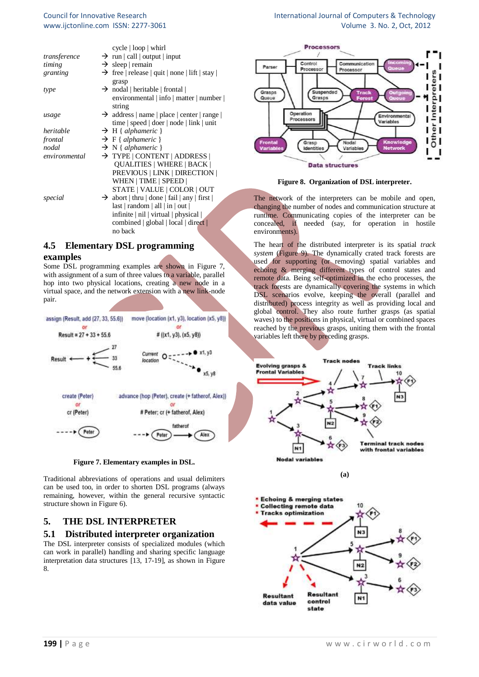#### Council for Innovative Research www.ijctonline.com ISSN: 2277-3061

| International Journal of Computers & Technology |
|-------------------------------------------------|
| Volume 3. No. 2, Oct, 2012                      |

|               | cycle   loop   which                                     |  |
|---------------|----------------------------------------------------------|--|
| transference  | $\rightarrow$ run   call   output   input                |  |
| timing        | $\rightarrow$ sleep   remain                             |  |
| granting      | $\rightarrow$ free   release   quit   none   lift   stay |  |
|               | grasp                                                    |  |
| type          | $\rightarrow$ nodal   heritable   frontal                |  |
|               | environmental   info   matter   number                   |  |
|               | string                                                   |  |
| usage         | $\rightarrow$ address   name   place   center   range    |  |
|               | time   speed   doer   node   link   unit                 |  |
| heritable     | $\rightarrow$ H { alphameric }                           |  |
| frontal       | $\rightarrow$ F { alphameric }                           |  |
| nodal         | $\rightarrow$ N { alphameric }                           |  |
| environmental | $\rightarrow$ TYPE   CONTENT   ADDRESS                   |  |
|               | <b>QUALITIES   WHERE   BACK  </b>                        |  |
|               | PREVIOUS   LINK   DIRECTION                              |  |
|               | WHEN   TIME   SPEED                                      |  |
|               | STATE   VALUE   COLOR   OUT                              |  |
| special       | $\rightarrow$ abort   thru   done   fail   any   first   |  |
|               | last   random   all   in   out                           |  |
|               | infinite   nil   virtual   physical                      |  |
|               | combined   global   local   direct                       |  |
|               | no back                                                  |  |

# **4.5 Elementary DSL programming examples**

Some DSL programming examples are shown in Figure 7, with assignment of a sum of three values to a variable, parallel hop into two physical locations, creating a new node in a virtual space, and the network extension with a new link-node pair.





Traditional abbreviations of operations and usual delimiters can be used too, in order to shorten DSL programs (always remaining, however, within the general recursive syntactic structure shown in Figure 6).

# **5. THE DSL INTERPRETER**

#### **5.1 Distributed interpreter organization**

The DSL interpreter consists of specialized modules (which can work in parallel) handling and sharing specific language interpretation data structures [13, 17-19], as shown in Figure 8.



**Figure 8. Organization of DSL interpreter.**

The network of the interpreters can be mobile and open, changing the number of nodes and communication structure at runtime. Communicating copies of the interpreter can be concealed, if needed (say, for operation in hostile environments).

The heart of the distributed interpreter is its spatial *track system* (Figure 9). The dynamically crated track forests are used for supporting (or removing) spatial variables and echoing & merging different types of control states and remote data. Being self-optimized in the echo processes, the track forests are dynamically covering the systems in which DSL scenarios evolve, keeping the overall (parallel and distributed) process integrity as well as providing local and global control. They also route further grasps (as spatial waves) to the positions in physical, virtual or combined spaces reached by the previous grasps, uniting them with the frontal variables left there by preceding grasps.



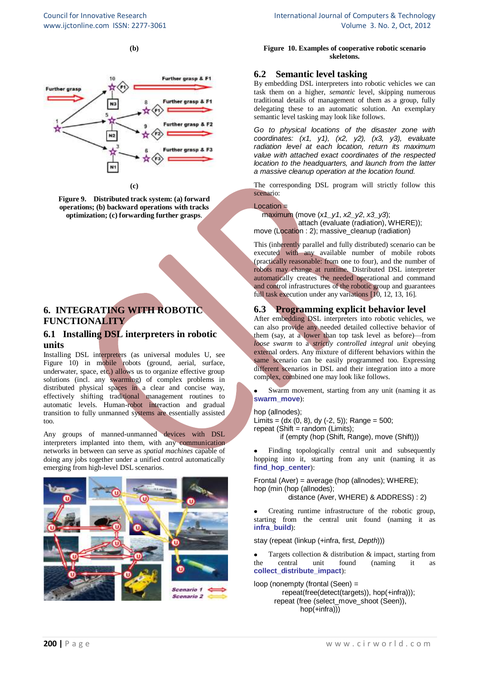**(b)**



**Figure 9. Distributed track system: (a) forward operations; (b) backward operations with tracks optimization; (c) forwarding further grasps**.

# **6. INTEGRATING WITH ROBOTIC FUNCTIONALITY**

#### **6.1 Installing DSL interpreters in robotic units**

Installing DSL interpreters (as universal modules U, see Figure 10) in mobile robots (ground, aerial, surface, underwater, space, etc.) allows us to organize effective group solutions (incl. any swarming) of complex problems in distributed physical spaces in a clear and concise way, effectively shifting traditional management routines to automatic levels. Human-robot interaction and gradual transition to fully unmanned systems are essentially assisted too.

Any groups of manned-unmanned devices with DSL interpreters implanted into them, with any communication networks in between can serve as *spatial machines* capable of doing any jobs together under a unified control automatically emerging from high-level DSL scenarios.



**Figure 10. Examples of cooperative robotic scenario skeletons.**

# **6.2 Semantic level tasking**

By embedding DSL interpreters into robotic vehicles we can task them on a higher, *semantic* level, skipping numerous traditional details of management of them as a group, fully delegating these to an automatic solution. An exemplary semantic level tasking may look like follows.

*Go to physical locations of the disaster zone with coordinates: (x1, y1), (x2, y2), (x3, y3), evaluate radiation level at each location, return its maximum value with attached exact coordinates of the respected location to the headquarters, and launch from the latter a massive cleanup operation at the location found.*

The corresponding DSL program will strictly follow this scenario:

#### $Location =$

 maximum (move (*x1\_y1*, *x2\_y2*, *x3\_y3*); attach (evaluate (radiation), WHERE)); move (Location : 2); massive\_cleanup (radiation)

This (inherently parallel and fully distributed) scenario can be executed with any available number of mobile robots (practically reasonable: from one to four), and the number of robots may change at runtime. Distributed DSL interpreter automatically creates the needed operational and command and control infrastructures of the robotic group and guarantees full task execution under any variations [10, 12, 13, 16].

# **6.3 Programming explicit behavior level**

After embedding DSL interpreters into robotic vehicles, we can also provide any needed detailed collective behavior of them (say, at a lower than top task level as before)—from *loose swarm* to a *strictly controlled integral unit* obeying external orders. Any mixture of different behaviors within the same scenario can be easily programmed too. Expressing different scenarios in DSL and their integration into a more complex, combined one may look like follows.

Swarm movement, starting from any unit (naming it as **swarm\_move**):

hop (allnodes); Limits =  $(dx (0, 8), dy (-2, 5))$ ; Range = 500;  $repeated$  (Shift = random (Limits); if (empty (hop (Shift, Range), move (Shift)))

Finding topologically central unit and subsequently hopping into it, starting from any unit (naming it as **find\_hop\_center**):

Frontal (Aver) = average (hop (allnodes); WHERE); hop (min (hop (allnodes); distance (Aver, WHERE) & ADDRESS) : 2)

Creating runtime infrastructure of the robotic group,  $\bullet$ starting from the central unit found (naming it as **infra\_build**):

stay (repeat (linkup (+infra, first, *Depth*)))

Targets collection & distribution & impact, starting from the central unit found (naming it as **collect\_distribute\_impact**):

loop (nonempty (frontal (Seen) = repeat(free(detect(targets)), hop(+infra))); repeat (free (select\_move\_shoot (Seen)), hop(+infra)))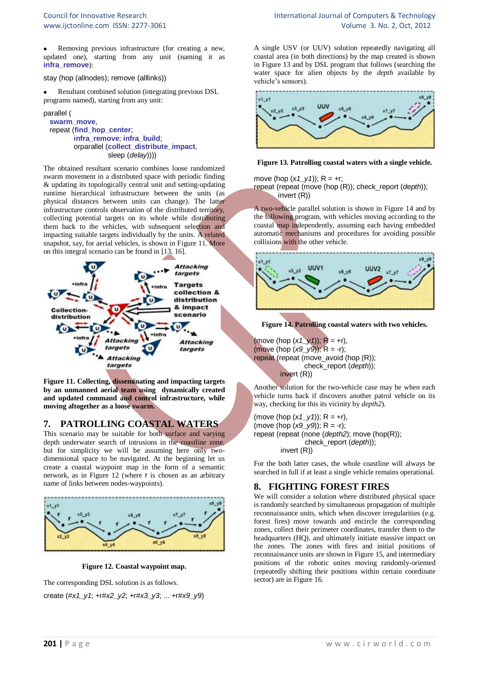Removing previous infrastructure (for creating a new, updated one), starting from any unit (naming it as **infra\_remove**):

#### stay (hop (allnodes); remove (alllinks))

Resultant combined solution (integrating previous DSL programs named), starting from any unit:

#### parallel (  **swarm\_move**, repeat (**find\_hop\_center**;  **infra\_remove**; **infra\_build**; orparallel (**collect\_distribute\_impact**, sleep (*delay*))))

The obtained resultant scenario combines loose randomized swarm movement in a distributed space with periodic finding & updating its topologically central unit and setting-updating runtime hierarchical infrastructure between the units (as physical distances between units can change). The latter infrastructure controls observation of the distributed territory, collecting potential targets on its whole while distributing them back to the vehicles, with subsequent selection and impacting suitable targets individually by the units. A related snapshot, say, for aerial vehicles, is shown in Figure 11. More on this integral scenario can be found in [13, 16].



**Figure 11. Collecting, disseminating and impacting targets by an unmanned aerial team using dynamically created and updated command and control infrastructure, while moving altogether as a loose swarm.**

# **7. PATROLLING COASTAL WATERS**

This scenario may be suitable for both surface and varying depth underwater search of intrusions in the coastline zone, but for simplicity we will be assuming here only twodimensional space to be navigated. At the beginning let us create a coastal waypoint map in the form of a semantic network, as in Figure 12 (where r is chosen as an arbitrary name of links between nodes-waypoints).



**Figure 12. Coastal waypoint map.**

The corresponding DSL solution is as follows.

create (#*x1\_y1*; +r#*x2\_y2*; +r#*x3\_y3*; ... +r#*x9\_y9*)

A single USV (or UUV) solution repeatedly navigating all coastal area (in both directions) by the map created is shown in Figure 13 and by DSL program that follows (searching the water space for alien objects by the *depth* available by vehicle's sensors).



#### **Figure 13. Patrolling coastal waters with a single vehicle.**

move (hop  $(x1 \text{ y1})$ ); R = +r; repeat (repeat (move (hop (R)); check\_report (*depth*)); invert (R))

A two-vehicle parallel solution is shown in Figure 14 and by the following program, with vehicles moving according to the coastal map independently, assuming each having embedded automatic mechanisms and procedures for avoiding possible collisions with the other vehicle.



**Figure 14. Patrolling coastal waters with two vehicles.**

(move (hop  $(x1_y1)$ ); R = +r), (move (hop (*x9\_y9*)); R = -r); repeat (repeat (move\_avoid (hop (R)); check\_report (*depth*)); invert (R))

Another solution for the two-vehicle case may be when each vehicle turns back if discovers another patrol vehicle on its way, checking for this its vicinity by *depth2*).

(move (hop  $(x1_y1)$ ); R = +r), (move (hop (*x9\_y9*)); R = -r); repeat (repeat (none (*depth2*); move (hop(R)); check\_report (*depth*)); invert (R))

For the both latter cases, the whole coastline will always be searched in full if at least a single vehicle remains operational.

# **8. FIGHTING FOREST FIRES**

We will consider a solution where distributed physical space is randomly searched by simultaneous propagation of multiple reconnaissance units, which when discover irregularities (e.g. forest fires) move towards and encircle the corresponding zones, collect their perimeter coordinates, transfer them to the headquarters (HQ), and ultimately initiate massive impact on the zones. The zones with fires and initial positions of reconnaissance units are shown in Figure 15, and intermediary positions of the robotic unites moving randomly-oriented (repeatedly shifting their positions within certain coordinate sector) are in Figure 16.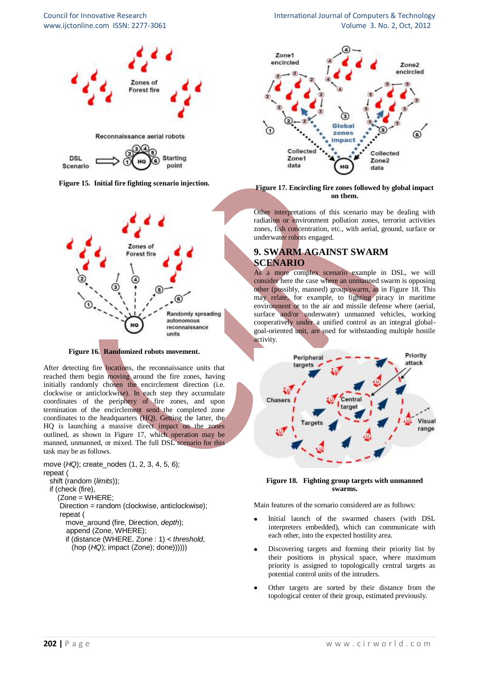



**Figure 15. Initial fire fighting scenario injection.**



**Figure 16. Randomized robots movement.**

After detecting fire locations, the reconnaissance units that reached them begin moving around the fire zones, having initially randomly chosen the encirclement direction (i.e. clockwise or anticlockwise). In each step they accumulate coordinates of the periphery of fire zones, and upon termination of the encirclement send the completed zone coordinates to the headquarters (HQ). Getting the latter, the HQ is launching a massive direct impact on the zones outlined, as shown in Figure 17, which operation may be manned, unmanned, or mixed. The full DSL scenario for this task may be as follows.

move (*HQ*); create\_nodes (1, 2, 3, 4, 5, 6); repeat ( shift (random (*limits*)); if (check (fire), (Zone = WHERE; Direction = random (clockwise, anticlockwise);

 repeat ( move\_around (fire, Direction, *depth*);

append (Zone, WHERE);

 if (distance (WHERE, Zone : 1) < *threshold*, (hop (*HQ*); impact (Zone); done))))))

Council for Innovative Research International Journal of Computers & Technology www.ijctonline.com ISSN: 2277-3061 Volume 3. No. 2, Oct, 2012



#### **Figure 17. Encircling fire zones followed by global impact on them.**

Other interpretations of this scenario may be dealing with radiation or environment pollution zones, terrorist activities zones, fish concentration, etc., with aerial, ground, surface or underwater robots engaged.

# **9. SWARM AGAINST SWARM SCENARIO**

As a more complex scenario example in DSL, we will consider here the case where an unmanned swarm is opposing other (possibly, manned) group/swarm, as in Figure 18. This may relate, for example, to fighting piracy in maritime environment or to the air and missile defense where (aerial, surface and/or underwater) unmanned vehicles, working cooperatively under a unified control as an integral globalgoal-oriented unit, are used for withstanding multiple hostile activity.



#### **Figure 18. Fighting group targets with unmanned swarms.**

Main features of the scenario considered are as follows:

- Initial launch of the swarmed chasers (with DSL interpreters embedded), which can communicate with each other, into the expected hostility area.
- Discovering targets and forming their priority list by their positions in physical space, where maximum priority is assigned to topologically central targets as potential control units of the intruders.
- Other targets are sorted by their distance from the topological center of their group, estimated previously.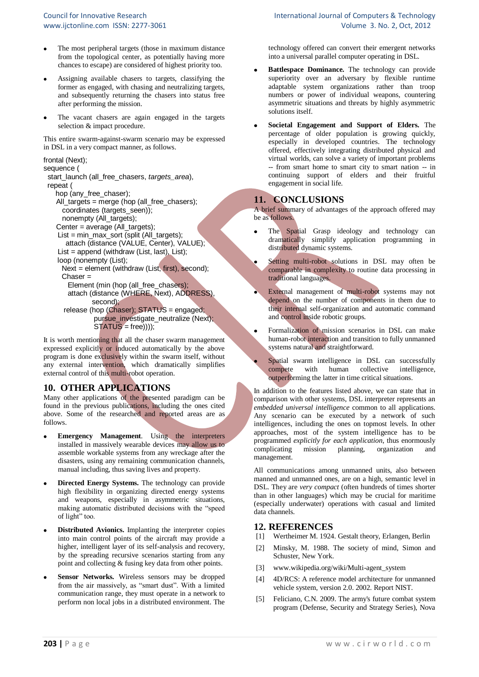- The most peripheral targets (those in maximum distance from the topological center, as potentially having more chances to escape) are considered of highest priority too.
- Assigning available chasers to targets, classifying the former as engaged, with chasing and neutralizing targets, and subsequently returning the chasers into status free after performing the mission.
- The vacant chasers are again engaged in the targets selection & impact procedure.

This entire swarm-against-swarm scenario may be expressed in DSL in a very compact manner, as follows.

```
frontal (Next);
```

```
sequence (
```

| start_launch (all_free_chasers, targets_area),<br>repeat ( |
|------------------------------------------------------------|
| hop (any free chaser);                                     |
| All_targets = merge (hop (all_free_chasers);               |
| coordinates (targets_seen));                               |
| nonempty (All_targets);                                    |
| Center = average (All_targets);                            |
| List = $min\_max\_sort$ (split (All_targets);              |
| attach (distance (VALUE, Center), VALUE);                  |
| List = append (withdraw (List, last), List);               |
| loop (nonempty (List);                                     |
| Next = element (withdraw (List, first), second);           |
| $Chaser =$                                                 |
| Element (min (hop (all free chasers);                      |
| attach (distance (WHERE, Next), ADDRESS),                  |
| second);                                                   |
| release (hop (Chaser); STATUS = engaged;                   |
| pursue_investigate_neutralize (Next);                      |
| $STATUS = free))))$ ;                                      |
|                                                            |

It is worth mentioning that all the chaser swarm management expressed explicitly or induced automatically by the above program is done exclusively within the swarm itself, without any external intervention, which dramatically simplifies external control of this multi-robot operation.

# **10. OTHER APPLICATIONS**

Many other applications of the presented paradigm can be found in the previous publications, including the ones cited above. Some of the researched and reported areas are as follows.

- **Emergency Management***.* Using the interpreters installed in massively wearable devices may allow us to assemble workable systems from any wreckage after the disasters, using any remaining communication channels, manual including, thus saving lives and property.
- **Directed Energy Systems.** The technology can provide high flexibility in organizing directed energy systems and weapons, especially in asymmetric situations, making automatic distributed decisions with the "speed of light" too.
- **Distributed Avionics.** Implanting the interpreter copies into main control points of the aircraft may provide a higher, intelligent layer of its self-analysis and recovery, by the spreading recursive scenarios starting from any point and collecting & fusing key data from other points.
- **Sensor Networks***.* Wireless sensors may be dropped from the air massively, as "smart dust". With a limited communication range, they must operate in a network to perform non local jobs in a distributed environment. The

#### Council for Innovative Research International Journal of Computers & Technology www.ijctonline.com ISSN: 2277-3061 Volume 3. No. 2, Oct, 2012

technology offered can convert their emergent networks into a universal parallel computer operating in DSL.

- **Battlespace Dominance.** The technology can provide superiority over an adversary by flexible runtime adaptable system organizations rather than troop numbers or power of individual weapons, countering asymmetric situations and threats by highly asymmetric solutions itself.
- **Societal Engagement and Support of Elders.** The percentage of older population is growing quickly, especially in developed countries. The technology offered, effectively integrating distributed physical and virtual worlds, can solve a variety of important problems -- from smart home to smart city to smart nation -- in continuing support of elders and their fruitful engagement in social life.

# **11. CONCLUSIONS**

A brief summary of advantages of the approach offered may be as follows.

- The Spatial Grasp ideology and technology can dramatically simplify application programming in distributed dynamic systems.
- Setting multi-robot solutions in DSL may often be comparable in complexity to routine data processing in traditional languages.
- External management of multi-robot systems may not depend on the number of components in them due to their internal self-organization and automatic command and control inside robotic groups.
- Formalization of mission scenarios in DSL can make  $\bullet$ human-robot interaction and transition to fully unmanned systems natural and straightforward.
	- Spatial swarm intelligence in DSL can successfully compete with human collective intelligence, outperforming the latter in time critical situations.

In addition to the features listed above, we can state that in comparison with other systems, DSL interpreter represents an *embedded universal intelligence* common to all applications. Any scenario can be executed by a network of such intelligences, including the ones on topmost levels. In other approaches, most of the system intelligence has to be programmed *explicitly for each application*, thus enormously complicating mission planning, organization and management.

All communications among unmanned units, also between manned and unmanned ones, are on a high, semantic level in DSL. They are *very compact* (often hundreds of times shorter than in other languages) which may be crucial for maritime (especially underwater) operations with casual and limited data channels.

#### **12. REFERENCES**

- [1] Wertheimer M. 1924. Gestalt theory, Erlangen, Berlin
- Minsky, M. 1988. The society of mind, Simon and Schuster, New York.
- [3] www.wikipedia.org/wiki/Multi-agent\_system
- [4] 4D/RCS: A reference model architecture for unmanned vehicle system, version 2.0. 2002. Report NIST.
- [5] Feliciano, C.N. 2009. The army's future combat system program (Defense, Security and Strategy Series), Nova